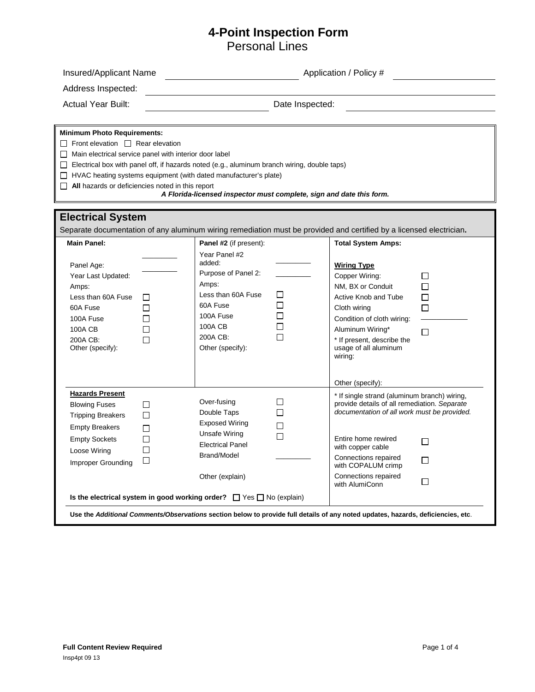## **4-Point Inspection Form**

Personal Lines

| Insured/Applicant Name                                                                                                                                                                                         | Application / Policy #                                                                                                                                                                                                                                |                                                                                                                                                                                                                                                                                                                          |  |  |  |  |
|----------------------------------------------------------------------------------------------------------------------------------------------------------------------------------------------------------------|-------------------------------------------------------------------------------------------------------------------------------------------------------------------------------------------------------------------------------------------------------|--------------------------------------------------------------------------------------------------------------------------------------------------------------------------------------------------------------------------------------------------------------------------------------------------------------------------|--|--|--|--|
| Address Inspected:                                                                                                                                                                                             |                                                                                                                                                                                                                                                       |                                                                                                                                                                                                                                                                                                                          |  |  |  |  |
| <b>Actual Year Built:</b>                                                                                                                                                                                      | Date Inspected:                                                                                                                                                                                                                                       |                                                                                                                                                                                                                                                                                                                          |  |  |  |  |
| <b>Minimum Photo Requirements:</b><br>$\Box$ Front elevation $\Box$ Rear elevation<br>$\Box$ Main electrical service panel with interior door label<br>$\Box$ All hazards or deficiencies noted in this report | $\Box$ Electrical box with panel off, if hazards noted (e.g., aluminum branch wiring, double taps)<br>$\Box$ HVAC heating systems equipment (with dated manufacturer's plate)<br>A Florida-licensed inspector must complete, sign and date this form. |                                                                                                                                                                                                                                                                                                                          |  |  |  |  |
| <b>Electrical System</b>                                                                                                                                                                                       | Separate documentation of any aluminum wiring remediation must be provided and certified by a licensed electrician.                                                                                                                                   |                                                                                                                                                                                                                                                                                                                          |  |  |  |  |
| <b>Main Panel:</b><br>Panel Age:<br>Year Last Updated:<br>Amps:<br>Less than 60A Fuse<br>П<br>П<br>60A Fuse<br>100A Fuse<br>П<br>100A CB<br>□<br>200A CB:<br>П<br>Other (specify):                             | Panel #2 (if present):<br>Year Panel #2<br>added:<br>Purpose of Panel 2:<br>Amps:<br>Less than 60A Fuse<br>П<br>60A Fuse<br>100A Fuse<br>100A CB<br>200A CB:<br>П<br>Other (specify):                                                                 | <b>Total System Amps:</b><br><b>Wiring Type</b><br>Copper Wiring:<br>□<br>П<br>NM, BX or Conduit<br>Active Knob and Tube<br>П<br>П<br>Cloth wiring<br>Condition of cloth wiring:<br>Aluminum Wiring*<br>□<br>* If present, describe the<br>usage of all aluminum<br>wiring:                                              |  |  |  |  |
| <b>Hazards Present</b><br><b>Blowing Fuses</b><br>□<br>□<br><b>Tripping Breakers</b><br><b>Empty Breakers</b><br>П<br><b>Empty Sockets</b><br>□<br>П<br>Loose Wiring<br>$\Box$<br>Improper Grounding           | Over-fusing<br>П<br>П<br>Double Taps<br><b>Exposed Wiring</b><br><b>Unsafe Wiring</b><br>□<br><b>Electrical Panel</b><br>Brand/Model<br>Other (explain)<br>Is the electrical system in good working order? $\Box$ Yes $\Box$ No (explain)             | Other (specify):<br>* If single strand (aluminum branch) wiring,<br>provide details of all remediation. Separate<br>documentation of all work must be provided.<br>Entire home rewired<br>$\perp$<br>with copper cable<br>Connections repaired<br>П<br>with COPALUM crimp<br>Connections repaired<br>П<br>with AlumiConn |  |  |  |  |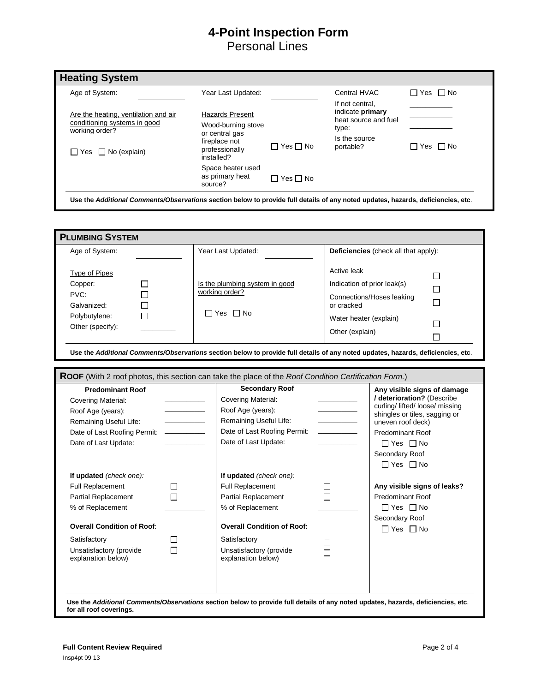# **4-Point Inspection Form**  Personal Lines

| Age of System:                                                                                                           | Year Last Updated:                                                                                                                      |                      | Central HVAC                                                                                       | $\Box$ Yes $\Box$ No |
|--------------------------------------------------------------------------------------------------------------------------|-----------------------------------------------------------------------------------------------------------------------------------------|----------------------|----------------------------------------------------------------------------------------------------|----------------------|
| Are the heating, ventilation and air<br>conditioning systems in good<br>working order?<br>$\Box$ Yes $\Box$ No (explain) | <b>Hazards Present</b><br>Wood-burning stove<br>or central gas<br>fireplace not<br>$\Box$ Yes $\Box$ No<br>professionally<br>installed? |                      | If not central.<br>indicate primary<br>heat source and fuel<br>type:<br>Is the source<br>portable? | IIYes □No            |
|                                                                                                                          | Space heater used<br>as primary heat<br>source?                                                                                         | $\Box$ Yes $\Box$ No |                                                                                                    |                      |

| Age of System:                                                                                                | Year Last Updated:                                                                                                                                                                                           |                                                                                                       | Deficiencies (check all that apply):                                                                                                               |  |
|---------------------------------------------------------------------------------------------------------------|--------------------------------------------------------------------------------------------------------------------------------------------------------------------------------------------------------------|-------------------------------------------------------------------------------------------------------|----------------------------------------------------------------------------------------------------------------------------------------------------|--|
| Type of Pipes<br>Copper:<br>$\Box$<br>PVC:<br>П<br>П<br>Galvanized:<br>П<br>Polybutylene:<br>Other (specify): | Is the plumbing system in good<br>working order?<br>$\Box$ Yes $\Box$ No<br>Use the Additional Comments/Observations section below to provide full details of any noted updates, hazards, deficiencies, etc. | Active leak<br>Indication of prior leak(s)<br>or cracked<br>Water heater (explain)<br>Other (explain) | П<br>П<br>Connections/Hoses leaking<br>П<br>П<br>П                                                                                                 |  |
| <b>Predominant Roof</b>                                                                                       | ROOF (With 2 roof photos, this section can take the place of the Roof Condition Certification Form.)<br><b>Secondary Roof</b>                                                                                |                                                                                                       |                                                                                                                                                    |  |
| <b>Covering Material:</b><br>Roof Age (years):<br>Remaining Useful Life:                                      | Covering Material:<br>Roof Age (years):<br>Remaining Useful Life:                                                                                                                                            |                                                                                                       | Any visible signs of damage<br>/ deterioration? (Describe<br>curling/ lifted/ loose/ missing<br>shingles or tiles, sagging or<br>uneven roof deck) |  |
| Date of Last Roofing Permit: -----------<br>Date of Last Update:                                              | Date of Last Roofing Permit:<br>Date of Last Update:                                                                                                                                                         |                                                                                                       | <b>Predominant Roof</b><br>$\Box$ Yes $\Box$ No<br>Secondary Roof<br>$\Box$ Yes $\Box$ No                                                          |  |

**for all roof coverings.**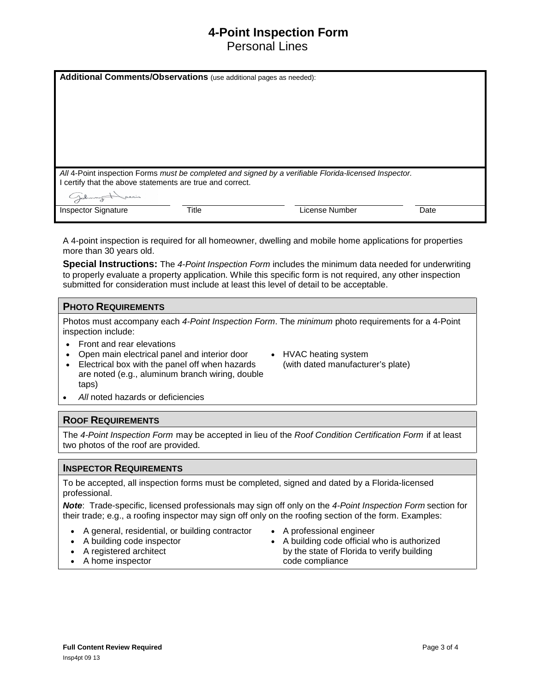## **4-Point Inspection Form**

Personal Lines

| Additional Comments/Observations (use additional pages as needed):                                                                                               |              |  |                |      |  |
|------------------------------------------------------------------------------------------------------------------------------------------------------------------|--------------|--|----------------|------|--|
|                                                                                                                                                                  |              |  |                |      |  |
|                                                                                                                                                                  |              |  |                |      |  |
|                                                                                                                                                                  |              |  |                |      |  |
|                                                                                                                                                                  |              |  |                |      |  |
| All 4-Point inspection Forms must be completed and signed by a verifiable Florida-licensed Inspector.<br>certify that the above statements are true and correct. |              |  |                |      |  |
| Sarin<br>Golumny                                                                                                                                                 |              |  |                |      |  |
| <b>Inspector Signature</b>                                                                                                                                       | <b>Title</b> |  | License Number | Date |  |

A 4-point inspection is required for all homeowner, dwelling and mobile home applications for properties more than 30 years old.

**Special Instructions:** The *4-Point Inspection Form* includes the minimum data needed for underwriting to properly evaluate a property application. While this specific form is not required, any other inspection submitted for consideration must include at least this level of detail to be acceptable.

#### **PHOTO REQUIREMENTS**

Photos must accompany each *4-Point Inspection Form*. The *minimum* photo requirements for a 4-Point inspection include:

- Front and rear elevations
- Open main electrical panel and interior door • Electrical box with the panel off when hazards
- HVAC heating system (with dated manufacturer's plate)
- are noted (e.g., aluminum branch wiring, double taps)
- *All* noted hazards or deficiencies

#### **ROOF REQUIREMENTS**

The *4-Point Inspection Form* may be accepted in lieu of the *Roof Condition Certification Form* if at least two photos of the roof are provided.

#### **INSPECTOR REQUIREMENTS**

To be accepted, all inspection forms must be completed, signed and dated by a Florida-licensed professional.

*Note*: Trade-specific, licensed professionals may sign off only on the *4-Point Inspection Form* section for their trade; e.g., a roofing inspector may sign off only on the roofing section of the form. Examples:

- A general, residential, or building contractor
- A building code inspector
- A registered architect
- A home inspector
- A professional engineer
- A building code official who is authorized by the state of Florida to verify building code compliance